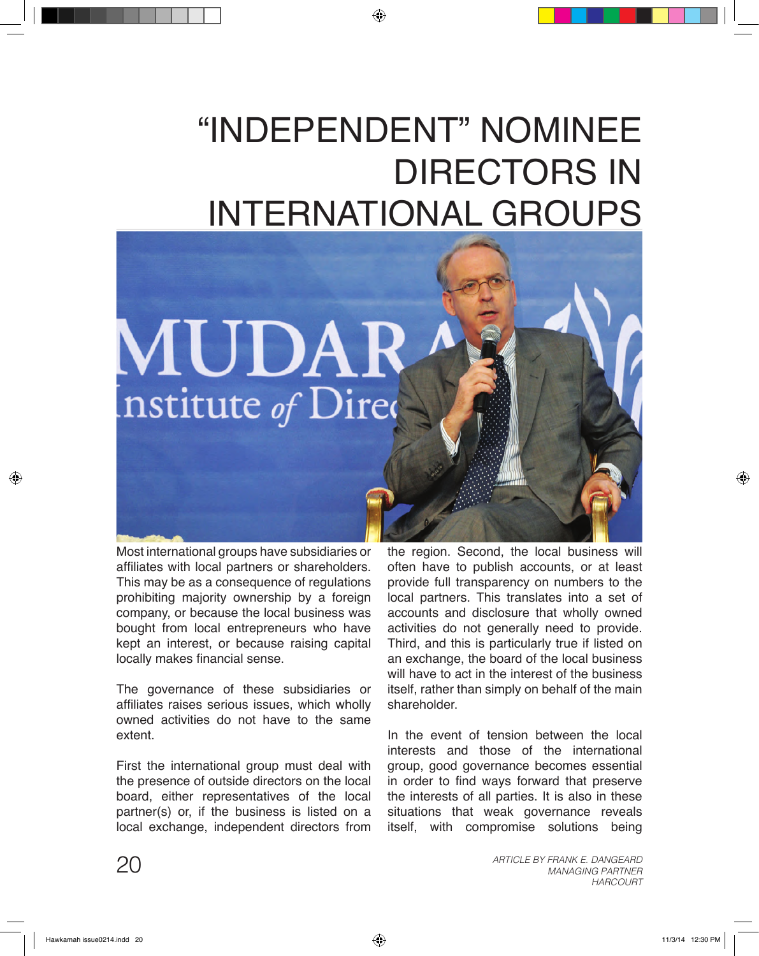## "Independent" Nominee DIRECTORS IN International Groups



Most international groups have subsidiaries or affiliates with local partners or shareholders. This may be as a consequence of regulations prohibiting majority ownership by a foreign company, or because the local business was bought from local entrepreneurs who have kept an interest, or because raising capital locally makes financial sense.

The governance of these subsidiaries or affiliates raises serious issues, which wholly owned activities do not have to the same extent.

First the international group must deal with the presence of outside directors on the local board, either representatives of the local partner(s) or, if the business is listed on a local exchange, independent directors from

the region. Second, the local business will often have to publish accounts, or at least provide full transparency on numbers to the local partners. This translates into a set of accounts and disclosure that wholly owned activities do not generally need to provide. Third, and this is particularly true if listed on an exchange, the board of the local business will have to act in the interest of the business itself, rather than simply on behalf of the main shareholder.

In the event of tension between the local interests and those of the international group, good governance becomes essential in order to find ways forward that preserve the interests of all parties. It is also in these situations that weak governance reveals itself, with compromise solutions being